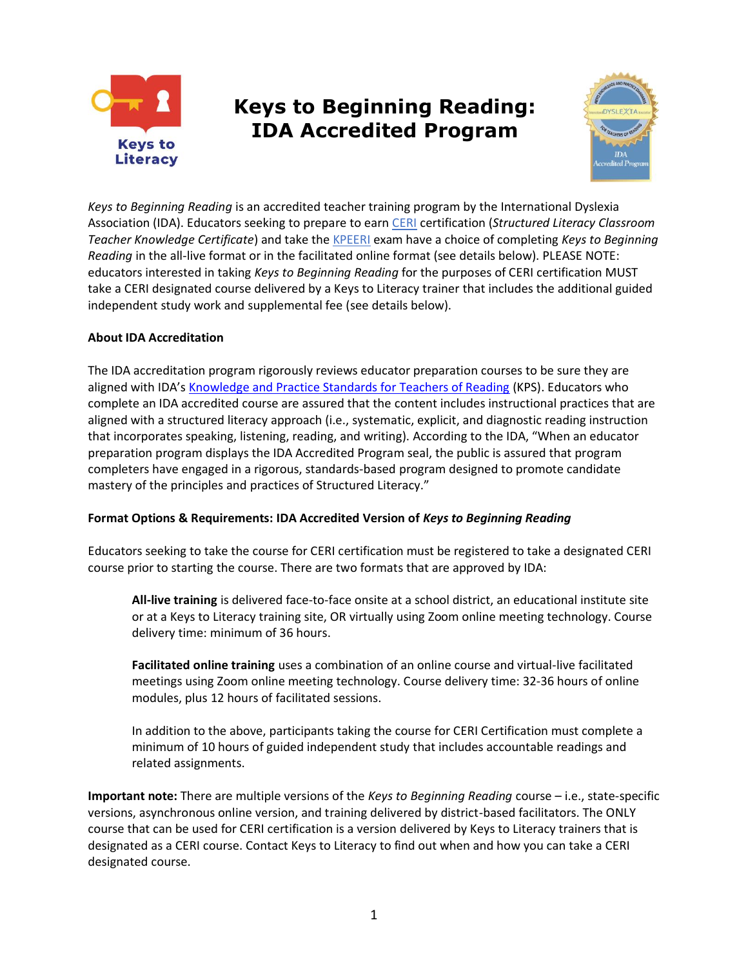

# **Keys to Beginning Reading: IDA Accredited Program**



*Keys to Beginning Reading* is an accredited teacher training program by the International Dyslexia Association (IDA). Educators seeking to prepare to earn [CERI](https://effectivereading.org/) certification (*Structured Literacy Classroom Teacher Knowledge Certificate*) and take th[e KPEERI](https://effectivereading.org/kpeeri-exam-disabled/) exam have a choice of completing *Keys to Beginning Reading* in the all-live format or in the facilitated online format (see details below). PLEASE NOTE: educators interested in taking *Keys to Beginning Reading* for the purposes of CERI certification MUST take a CERI designated course delivered by a Keys to Literacy trainer that includes the additional guided independent study work and supplemental fee (see details below).

## **About IDA Accreditation**

The IDA accreditation program rigorously reviews educator preparation courses to be sure they are aligned with IDA's [Knowledge and Practice Standards for Teachers of Reading](https://dyslexiaida.org/knowledge-and-practices/) (KPS). Educators who complete an IDA accredited course are assured that the content includes instructional practices that are aligned with a structured literacy approach (i.e., systematic, explicit, and diagnostic reading instruction that incorporates speaking, listening, reading, and writing). According to the IDA, "When an educator preparation program displays the IDA Accredited Program seal, the public is assured that program completers have engaged in a rigorous, standards-based program designed to promote candidate mastery of the principles and practices of Structured Literacy."

#### **Format Options & Requirements: IDA Accredited Version of** *Keys to Beginning Reading*

Educators seeking to take the course for CERI certification must be registered to take a designated CERI course prior to starting the course. There are two formats that are approved by IDA:

**All-live training** is delivered face-to-face onsite at a school district, an educational institute site or at a Keys to Literacy training site, OR virtually using Zoom online meeting technology. Course delivery time: minimum of 36 hours.

**Facilitated online training** uses a combination of an online course and virtual-live facilitated meetings using Zoom online meeting technology. Course delivery time: 32-36 hours of online modules, plus 12 hours of facilitated sessions.

In addition to the above, participants taking the course for CERI Certification must complete a minimum of 10 hours of guided independent study that includes accountable readings and related assignments.

**Important note:** There are multiple versions of the *Keys to Beginning Reading* course – i.e., state-specific versions, asynchronous online version, and training delivered by district-based facilitators. The ONLY course that can be used for CERI certification is a version delivered by Keys to Literacy trainers that is designated as a CERI course. Contact Keys to Literacy to find out when and how you can take a CERI designated course.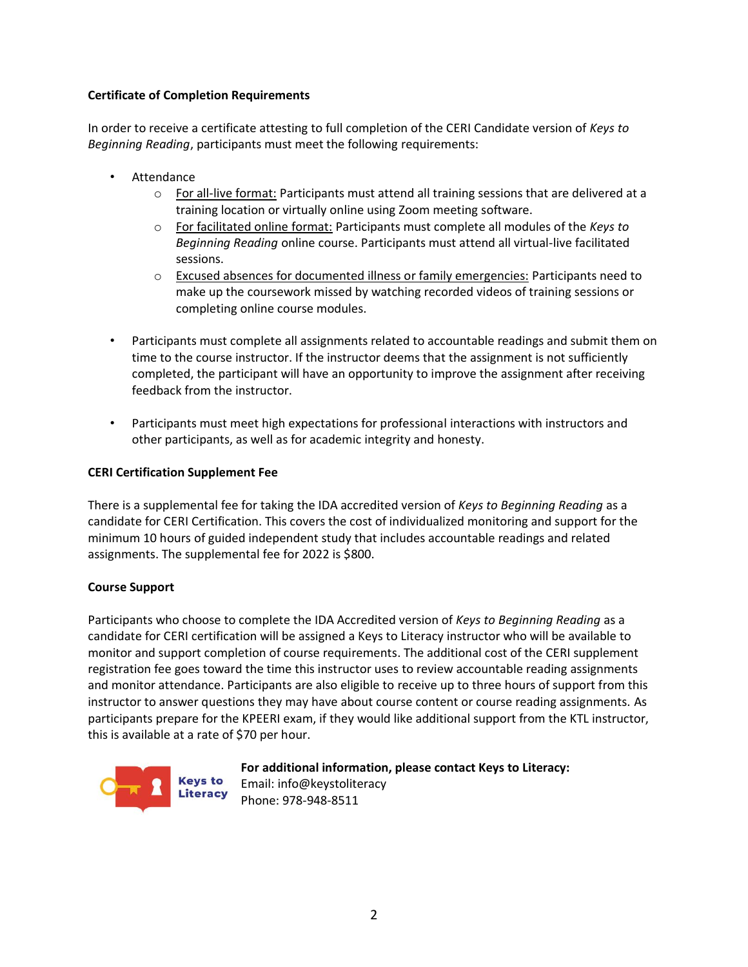## **Certificate of Completion Requirements**

In order to receive a certificate attesting to full completion of the CERI Candidate version of *Keys to Beginning Reading*, participants must meet the following requirements:

- **Attendance** 
	- $\circ$  For all-live format: Participants must attend all training sessions that are delivered at a training location or virtually online using Zoom meeting software.
	- o For facilitated online format: Participants must complete all modules of the *Keys to Beginning Reading* online course. Participants must attend all virtual-live facilitated sessions.
	- o Excused absences for documented illness or family emergencies: Participants need to make up the coursework missed by watching recorded videos of training sessions or completing online course modules.
- Participants must complete all assignments related to accountable readings and submit them on time to the course instructor. If the instructor deems that the assignment is not sufficiently completed, the participant will have an opportunity to improve the assignment after receiving feedback from the instructor.
- Participants must meet high expectations for professional interactions with instructors and other participants, as well as for academic integrity and honesty.

#### **CERI Certification Supplement Fee**

There is a supplemental fee for taking the IDA accredited version of *Keys to Beginning Reading* as a candidate for CERI Certification. This covers the cost of individualized monitoring and support for the minimum 10 hours of guided independent study that includes accountable readings and related assignments. The supplemental fee for 2022 is \$800.

#### **Course Support**

Participants who choose to complete the IDA Accredited version of *Keys to Beginning Reading* as a candidate for CERI certification will be assigned a Keys to Literacy instructor who will be available to monitor and support completion of course requirements. The additional cost of the CERI supplement registration fee goes toward the time this instructor uses to review accountable reading assignments and monitor attendance. Participants are also eligible to receive up to three hours of support from this instructor to answer questions they may have about course content or course reading assignments. As participants prepare for the KPEERI exam, if they would like additional support from the KTL instructor, this is available at a rate of \$70 per hour.



**For additional information, please contact Keys to Literacy:**  Email: info@keystoliteracy Phone: 978-948-8511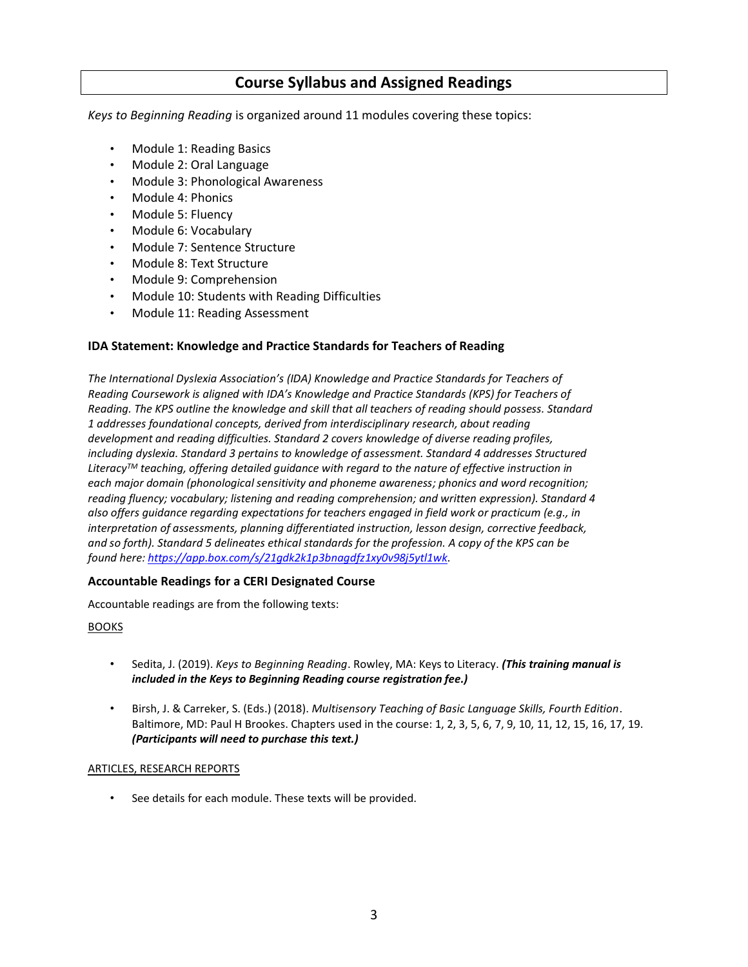## **Course Syllabus and Assigned Readings**

*Keys to Beginning Reading* is organized around 11 modules covering these topics:

- Module 1: Reading Basics
- Module 2: Oral Language
- Module 3: Phonological Awareness
- Module 4: Phonics
- Module 5: Fluency
- Module 6: Vocabulary
- Module 7: Sentence Structure
- Module 8: Text Structure
- Module 9: Comprehension
- Module 10: Students with Reading Difficulties
- Module 11: Reading Assessment

#### **IDA Statement: Knowledge and Practice Standards for Teachers of Reading**

*The International Dyslexia Association's (IDA) Knowledge and Practice Standards for Teachers of Reading Coursework is aligned with IDA's Knowledge and Practice Standards (KPS) for Teachers of Reading. The KPS outline the knowledge and skill that all teachers of reading should possess. Standard 1 addresses foundational concepts, derived from interdisciplinary research, about reading development and reading difficulties. Standard 2 covers knowledge of diverse reading profiles, including dyslexia. Standard 3 pertains to knowledge of assessment. Standard 4 addresses Structured LiteracyTM teaching, offering detailed guidance with regard to the nature of effective instruction in each major domain (phonological sensitivity and phoneme awareness; phonics and word recognition; reading fluency; vocabulary; listening and reading comprehension; and written expression). Standard 4 also offers guidance regarding expectations for teachers engaged in field work or practicum (e.g., in interpretation of assessments, planning differentiated instruction, lesson design, corrective feedback, and so forth). Standard 5 delineates ethical standards for the profession. A copy of the KPS can be found he[re: https://app.box.com/s/21gdk2k1p3bnagdfz1xy0v98j5ytl1wk.](https://app.box.com/s/21gdk2k1p3bnagdfz1xy0v98j5ytl1wk)* 

#### **Accountable Readings for a CERI Designated Course**

Accountable readings are from the following texts:

#### BOOKS

- Sedita, J. (2019). *Keys to Beginning Reading*. Rowley, MA: Keys to Literacy. *(This training manual is included in the Keys to Beginning Reading course registration fee.)*
- Birsh, J. & Carreker, S. (Eds.) (2018). *Multisensory Teaching of Basic Language Skills, Fourth Edition*. Baltimore, MD: Paul H Brookes. Chapters used in the course: 1, 2, 3, 5, 6, 7, 9, 10, 11, 12, 15, 16, 17, 19. *(Participants will need to purchase this text.)*

#### ARTICLES, RESEARCH REPORTS

See details for each module. These texts will be provided.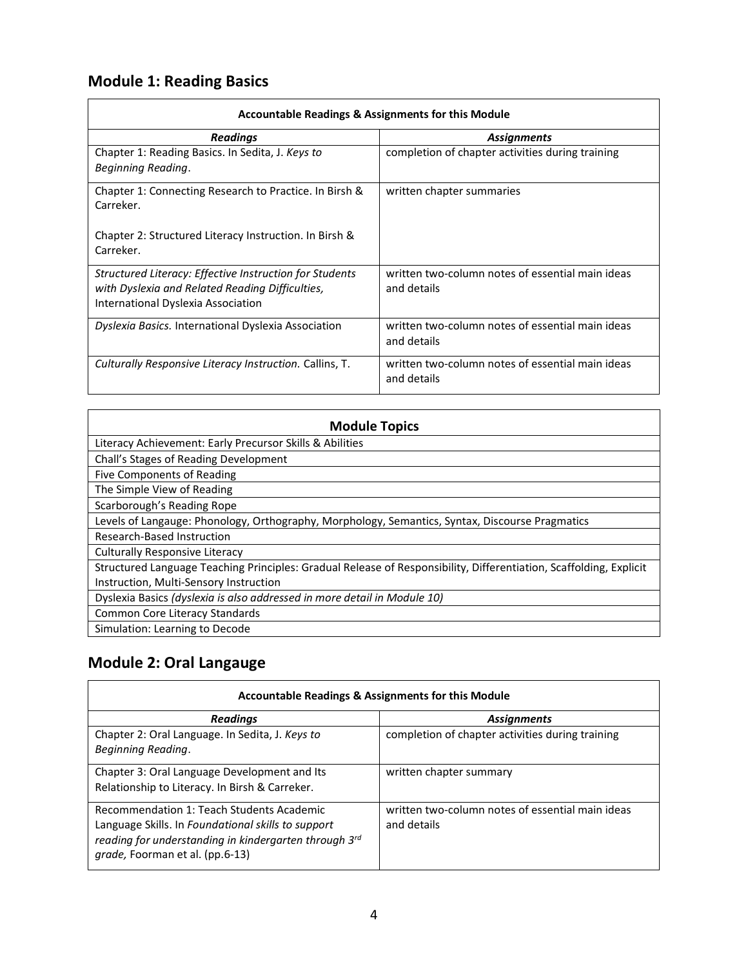# **Module 1: Reading Basics**

 $\blacksquare$ 

| <b>Accountable Readings &amp; Assignments for this Module</b>                                                                                    |                                                                 |
|--------------------------------------------------------------------------------------------------------------------------------------------------|-----------------------------------------------------------------|
| <b>Readings</b>                                                                                                                                  | <b>Assignments</b>                                              |
| Chapter 1: Reading Basics. In Sedita, J. Keys to<br>Beginning Reading.                                                                           | completion of chapter activities during training                |
| Chapter 1: Connecting Research to Practice. In Birsh &<br>Carreker.                                                                              | written chapter summaries                                       |
| Chapter 2: Structured Literacy Instruction. In Birsh &<br>Carreker.                                                                              |                                                                 |
| Structured Literacy: Effective Instruction for Students<br>with Dyslexia and Related Reading Difficulties,<br>International Dyslexia Association | written two-column notes of essential main ideas<br>and details |
| Dyslexia Basics. International Dyslexia Association                                                                                              | written two-column notes of essential main ideas<br>and details |
| Culturally Responsive Literacy Instruction. Callins, T.                                                                                          | written two-column notes of essential main ideas<br>and details |

<u> 1980 - Johann Barn, mars ann an t-Amhain Aonaich an t-Aonaich an t-Aonaich ann an t-Aonaich ann an t-Aonaich</u>

 $\overline{\phantom{0}}$ 

| <b>Module Topics</b>                                                                                               |  |
|--------------------------------------------------------------------------------------------------------------------|--|
| Literacy Achievement: Early Precursor Skills & Abilities                                                           |  |
| Chall's Stages of Reading Development                                                                              |  |
| Five Components of Reading                                                                                         |  |
| The Simple View of Reading                                                                                         |  |
| Scarborough's Reading Rope                                                                                         |  |
| Levels of Langauge: Phonology, Orthography, Morphology, Semantics, Syntax, Discourse Pragmatics                    |  |
| Research-Based Instruction                                                                                         |  |
| Culturally Responsive Literacy                                                                                     |  |
| Structured Language Teaching Principles: Gradual Release of Responsibility, Differentiation, Scaffolding, Explicit |  |
| Instruction, Multi-Sensory Instruction                                                                             |  |
| Dyslexia Basics (dyslexia is also addressed in more detail in Module 10)                                           |  |
| <b>Common Core Literacy Standards</b>                                                                              |  |
| Simulation: Learning to Decode                                                                                     |  |

# **Module 2: Oral Langauge**

| Accountable Readings & Assignments for this Module                                                                                                                                          |                                                                 |
|---------------------------------------------------------------------------------------------------------------------------------------------------------------------------------------------|-----------------------------------------------------------------|
| <b>Readings</b>                                                                                                                                                                             | <b>Assignments</b>                                              |
| Chapter 2: Oral Language. In Sedita, J. Keys to<br><b>Beginning Reading.</b>                                                                                                                | completion of chapter activities during training                |
| Chapter 3: Oral Language Development and Its<br>Relationship to Literacy. In Birsh & Carreker.                                                                                              | written chapter summary                                         |
| Recommendation 1: Teach Students Academic<br>Language Skills. In Foundational skills to support<br>reading for understanding in kindergarten through 3rd<br>grade, Foorman et al. (pp.6-13) | written two-column notes of essential main ideas<br>and details |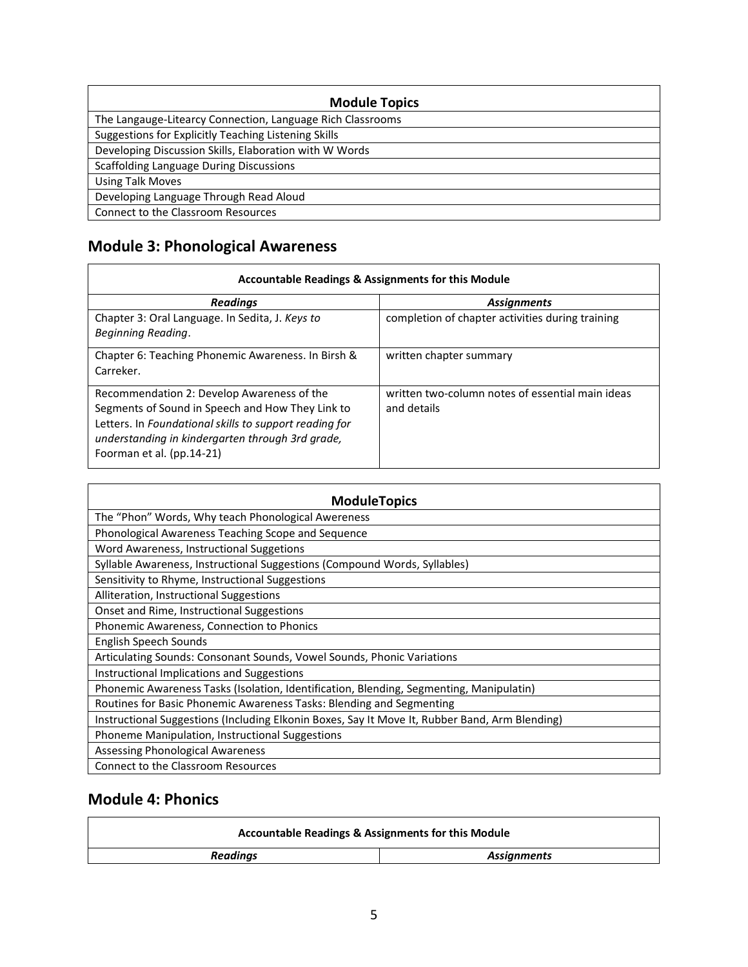| <b>Module Topics</b>                                       |  |
|------------------------------------------------------------|--|
| The Langauge-Litearcy Connection, Language Rich Classrooms |  |
| Suggestions for Explicitly Teaching Listening Skills       |  |
| Developing Discussion Skills, Elaboration with W Words     |  |
| <b>Scaffolding Language During Discussions</b>             |  |
| <b>Using Talk Moves</b>                                    |  |
| Developing Language Through Read Aloud                     |  |
| Connect to the Classroom Resources                         |  |

# **Module 3: Phonological Awareness**

| <b>Accountable Readings &amp; Assignments for this Module</b>                                                                                                                                                                             |                                                                 |
|-------------------------------------------------------------------------------------------------------------------------------------------------------------------------------------------------------------------------------------------|-----------------------------------------------------------------|
| <b>Readings</b>                                                                                                                                                                                                                           | <b>Assignments</b>                                              |
| Chapter 3: Oral Language. In Sedita, J. Keys to<br>Beginning Reading.                                                                                                                                                                     | completion of chapter activities during training                |
| Chapter 6: Teaching Phonemic Awareness. In Birsh &<br>Carreker.                                                                                                                                                                           | written chapter summary                                         |
| Recommendation 2: Develop Awareness of the<br>Segments of Sound in Speech and How They Link to<br>Letters. In Foundational skills to support reading for<br>understanding in kindergarten through 3rd grade,<br>Foorman et al. (pp.14-21) | written two-column notes of essential main ideas<br>and details |

| <b>ModuleTopics</b>                                                                            |  |
|------------------------------------------------------------------------------------------------|--|
| The "Phon" Words, Why teach Phonological Awereness                                             |  |
| Phonological Awareness Teaching Scope and Sequence                                             |  |
| Word Awareness, Instructional Suggetions                                                       |  |
| Syllable Awareness, Instructional Suggestions (Compound Words, Syllables)                      |  |
| Sensitivity to Rhyme, Instructional Suggestions                                                |  |
| Alliteration, Instructional Suggestions                                                        |  |
| Onset and Rime, Instructional Suggestions                                                      |  |
| Phonemic Awareness, Connection to Phonics                                                      |  |
| English Speech Sounds                                                                          |  |
| Articulating Sounds: Consonant Sounds, Vowel Sounds, Phonic Variations                         |  |
| Instructional Implications and Suggestions                                                     |  |
| Phonemic Awareness Tasks (Isolation, Identification, Blending, Segmenting, Manipulatin)        |  |
| Routines for Basic Phonemic Awareness Tasks: Blending and Segmenting                           |  |
| Instructional Suggestions (Including Elkonin Boxes, Say It Move It, Rubber Band, Arm Blending) |  |
| Phoneme Manipulation, Instructional Suggestions                                                |  |
| Assessing Phonological Awareness                                                               |  |
| Connect to the Classroom Resources                                                             |  |

# **Module 4: Phonics**

| <b>Accountable Readings &amp; Assignments for this Module</b> |  |
|---------------------------------------------------------------|--|
| Readings<br>Assignments                                       |  |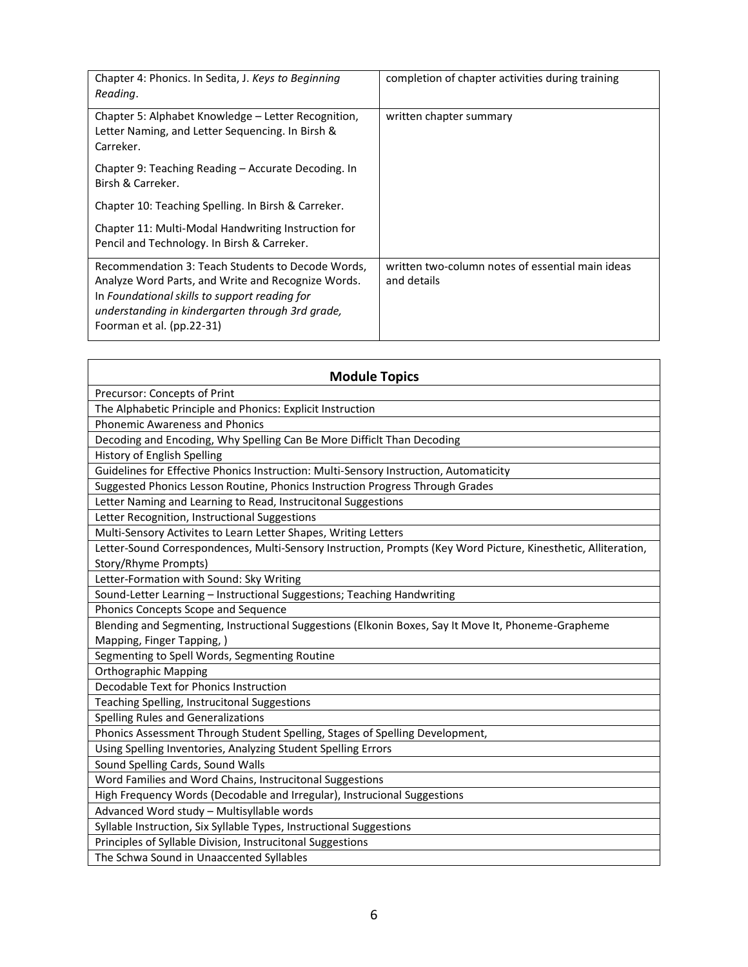| Chapter 4: Phonics. In Sedita, J. Keys to Beginning<br>Reading.                                                                                                                                                                           | completion of chapter activities during training                |
|-------------------------------------------------------------------------------------------------------------------------------------------------------------------------------------------------------------------------------------------|-----------------------------------------------------------------|
| Chapter 5: Alphabet Knowledge – Letter Recognition,<br>Letter Naming, and Letter Sequencing. In Birsh &<br>Carreker.                                                                                                                      | written chapter summary                                         |
| Chapter 9: Teaching Reading – Accurate Decoding. In<br>Birsh & Carreker.                                                                                                                                                                  |                                                                 |
| Chapter 10: Teaching Spelling. In Birsh & Carreker.                                                                                                                                                                                       |                                                                 |
| Chapter 11: Multi-Modal Handwriting Instruction for<br>Pencil and Technology. In Birsh & Carreker.                                                                                                                                        |                                                                 |
| Recommendation 3: Teach Students to Decode Words,<br>Analyze Word Parts, and Write and Recognize Words.<br>In Foundational skills to support reading for<br>understanding in kindergarten through 3rd grade,<br>Foorman et al. (pp.22-31) | written two-column notes of essential main ideas<br>and details |

| <b>Module Topics</b>                                                                                           |
|----------------------------------------------------------------------------------------------------------------|
| Precursor: Concepts of Print                                                                                   |
| The Alphabetic Principle and Phonics: Explicit Instruction                                                     |
| <b>Phonemic Awareness and Phonics</b>                                                                          |
| Decoding and Encoding, Why Spelling Can Be More Difficlt Than Decoding                                         |
| History of English Spelling                                                                                    |
| Guidelines for Effective Phonics Instruction: Multi-Sensory Instruction, Automaticity                          |
| Suggested Phonics Lesson Routine, Phonics Instruction Progress Through Grades                                  |
| Letter Naming and Learning to Read, Instrucitonal Suggestions                                                  |
| Letter Recognition, Instructional Suggestions                                                                  |
| Multi-Sensory Activites to Learn Letter Shapes, Writing Letters                                                |
| Letter-Sound Correspondences, Multi-Sensory Instruction, Prompts (Key Word Picture, Kinesthetic, Alliteration, |
| Story/Rhyme Prompts)                                                                                           |
| Letter-Formation with Sound: Sky Writing                                                                       |
| Sound-Letter Learning - Instructional Suggestions; Teaching Handwriting                                        |
| Phonics Concepts Scope and Sequence                                                                            |
| Blending and Segmenting, Instructional Suggestions (Elkonin Boxes, Say It Move It, Phoneme-Grapheme            |
| Mapping, Finger Tapping, )                                                                                     |
| Segmenting to Spell Words, Segmenting Routine                                                                  |
| <b>Orthographic Mapping</b>                                                                                    |
| Decodable Text for Phonics Instruction                                                                         |
| Teaching Spelling, Instrucitonal Suggestions                                                                   |
| Spelling Rules and Generalizations                                                                             |
| Phonics Assessment Through Student Spelling, Stages of Spelling Development,                                   |
| Using Spelling Inventories, Analyzing Student Spelling Errors                                                  |
| Sound Spelling Cards, Sound Walls                                                                              |
| Word Families and Word Chains, Instrucitonal Suggestions                                                       |
| High Frequency Words (Decodable and Irregular), Instrucional Suggestions                                       |
| Advanced Word study - Multisyllable words                                                                      |
| Syllable Instruction, Six Syllable Types, Instructional Suggestions                                            |
| Principles of Syllable Division, Instrucitonal Suggestions                                                     |
| The Schwa Sound in Unaaccented Syllables                                                                       |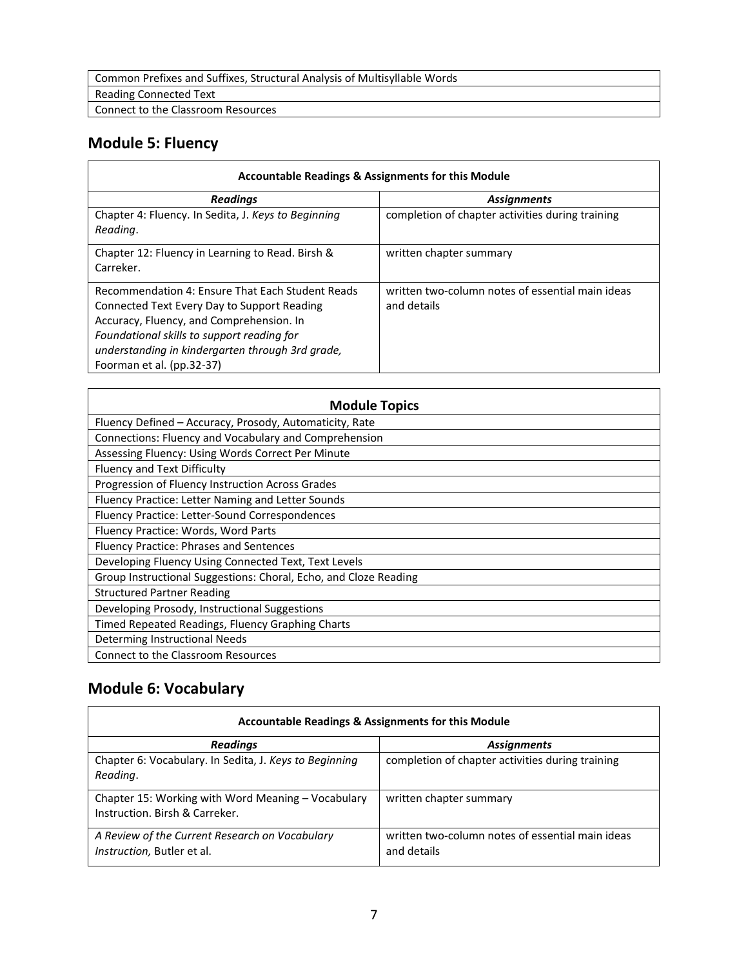Common Prefixes and Suffixes, Structural Analysis of Multisyllable Words

Reading Connected Text

Connect to the Classroom Resources

## **Module 5: Fluency**

| Accountable Readings & Assignments for this Module                                                                                                                                                                                                                         |                                                                 |
|----------------------------------------------------------------------------------------------------------------------------------------------------------------------------------------------------------------------------------------------------------------------------|-----------------------------------------------------------------|
| <b>Readings</b>                                                                                                                                                                                                                                                            | <b>Assignments</b>                                              |
| Chapter 4: Fluency. In Sedita, J. Keys to Beginning<br>Reading.                                                                                                                                                                                                            | completion of chapter activities during training                |
| Chapter 12: Fluency in Learning to Read. Birsh &<br>Carreker.                                                                                                                                                                                                              | written chapter summary                                         |
| Recommendation 4: Ensure That Each Student Reads<br>Connected Text Every Day to Support Reading<br>Accuracy, Fluency, and Comprehension. In<br>Foundational skills to support reading for<br>understanding in kindergarten through 3rd grade,<br>Foorman et al. (pp.32-37) | written two-column notes of essential main ideas<br>and details |

| <b>Module Topics</b>                                             |
|------------------------------------------------------------------|
| Fluency Defined - Accuracy, Prosody, Automaticity, Rate          |
| Connections: Fluency and Vocabulary and Comprehension            |
| Assessing Fluency: Using Words Correct Per Minute                |
| Fluency and Text Difficulty                                      |
| Progression of Fluency Instruction Across Grades                 |
| Fluency Practice: Letter Naming and Letter Sounds                |
| Fluency Practice: Letter-Sound Correspondences                   |
| Fluency Practice: Words, Word Parts                              |
| Fluency Practice: Phrases and Sentences                          |
| Developing Fluency Using Connected Text, Text Levels             |
| Group Instructional Suggestions: Choral, Echo, and Cloze Reading |
| <b>Structured Partner Reading</b>                                |
| Developing Prosody, Instructional Suggestions                    |
| Timed Repeated Readings, Fluency Graphing Charts                 |
| Determing Instructional Needs                                    |
| Connect to the Classroom Resources                               |

# **Module 6: Vocabulary**

 $\Gamma$ 

| <b>Accountable Readings &amp; Assignments for this Module</b>                        |                                                                 |
|--------------------------------------------------------------------------------------|-----------------------------------------------------------------|
| <b>Readings</b>                                                                      | <b>Assignments</b>                                              |
| Chapter 6: Vocabulary. In Sedita, J. Keys to Beginning<br>Reading.                   | completion of chapter activities during training                |
| Chapter 15: Working with Word Meaning - Vocabulary<br>Instruction, Birsh & Carreker. | written chapter summary                                         |
| A Review of the Current Research on Vocabulary<br>Instruction, Butler et al.         | written two-column notes of essential main ideas<br>and details |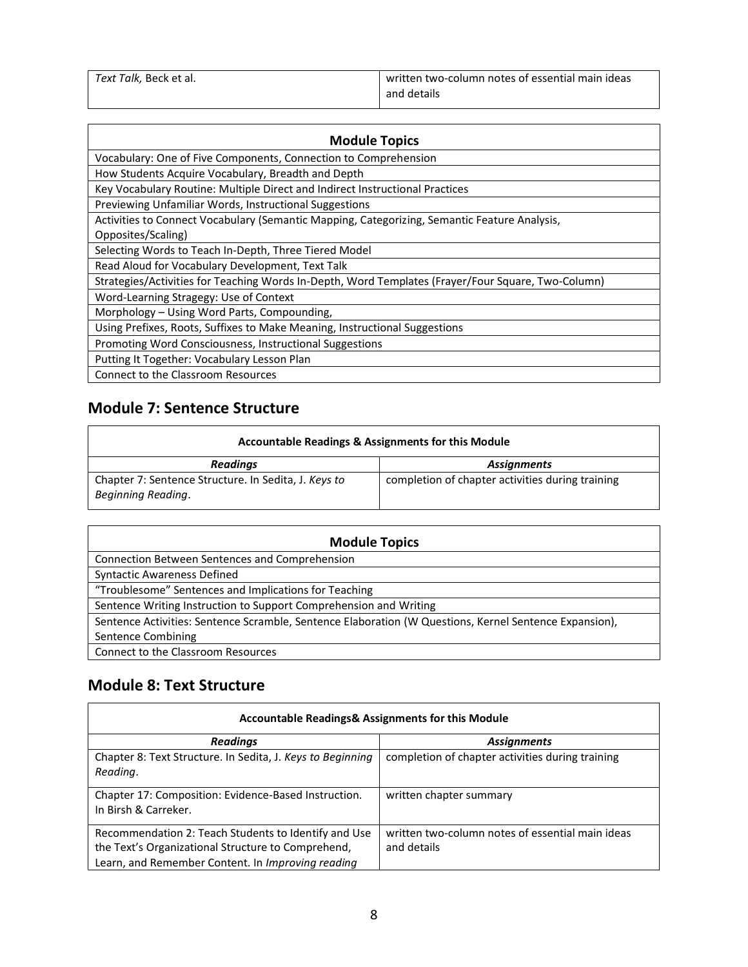| Text Talk, Beck et al. | written two-column notes of essential main ideas |
|------------------------|--------------------------------------------------|
|                        | and details                                      |

| <b>Module Topics</b>                                                                               |  |
|----------------------------------------------------------------------------------------------------|--|
| Vocabulary: One of Five Components, Connection to Comprehension                                    |  |
| How Students Acquire Vocabulary, Breadth and Depth                                                 |  |
| Key Vocabulary Routine: Multiple Direct and Indirect Instructional Practices                       |  |
| Previewing Unfamiliar Words, Instructional Suggestions                                             |  |
| Activities to Connect Vocabulary (Semantic Mapping, Categorizing, Semantic Feature Analysis,       |  |
| Opposites/Scaling)                                                                                 |  |
| Selecting Words to Teach In-Depth, Three Tiered Model                                              |  |
| Read Aloud for Vocabulary Development, Text Talk                                                   |  |
| Strategies/Activities for Teaching Words In-Depth, Word Templates (Frayer/Four Square, Two-Column) |  |
| Word-Learning Stragegy: Use of Context                                                             |  |
| Morphology – Using Word Parts, Compounding,                                                        |  |
| Using Prefixes, Roots, Suffixes to Make Meaning, Instructional Suggestions                         |  |
| Promoting Word Consciousness, Instructional Suggestions                                            |  |
| Putting It Together: Vocabulary Lesson Plan                                                        |  |
| Connect to the Classroom Resources                                                                 |  |

## **Module 7: Sentence Structure**

 $\blacksquare$ 

| Accountable Readings & Assignments for this Module                         |                                                  |
|----------------------------------------------------------------------------|--------------------------------------------------|
| <b>Readings</b>                                                            | <b>Assignments</b>                               |
| Chapter 7: Sentence Structure. In Sedita, J. Keys to<br>Beginning Reading. | completion of chapter activities during training |

 $\overline{\phantom{0}}$ 

 $\overline{\phantom{0}}$ 

| <b>Module Topics</b>                                                                                   |
|--------------------------------------------------------------------------------------------------------|
| Connection Between Sentences and Comprehension                                                         |
| <b>Syntactic Awareness Defined</b>                                                                     |
| "Troublesome" Sentences and Implications for Teaching                                                  |
| Sentence Writing Instruction to Support Comprehension and Writing                                      |
| Sentence Activities: Sentence Scramble, Sentence Elaboration (W Questions, Kernel Sentence Expansion), |
| Sentence Combining                                                                                     |
| Connect to the Classroom Resources                                                                     |

## **Module 8: Text Structure**

| <b>Accountable Readings&amp; Assignments for this Module</b>                                                                                                    |                                                                 |
|-----------------------------------------------------------------------------------------------------------------------------------------------------------------|-----------------------------------------------------------------|
| <b>Readings</b>                                                                                                                                                 | <b>Assignments</b>                                              |
| Chapter 8: Text Structure. In Sedita, J. Keys to Beginning<br>Reading.                                                                                          | completion of chapter activities during training                |
| Chapter 17: Composition: Evidence-Based Instruction.<br>In Birsh & Carreker.                                                                                    | written chapter summary                                         |
| Recommendation 2: Teach Students to Identify and Use<br>the Text's Organizational Structure to Comprehend,<br>Learn, and Remember Content. In Improving reading | written two-column notes of essential main ideas<br>and details |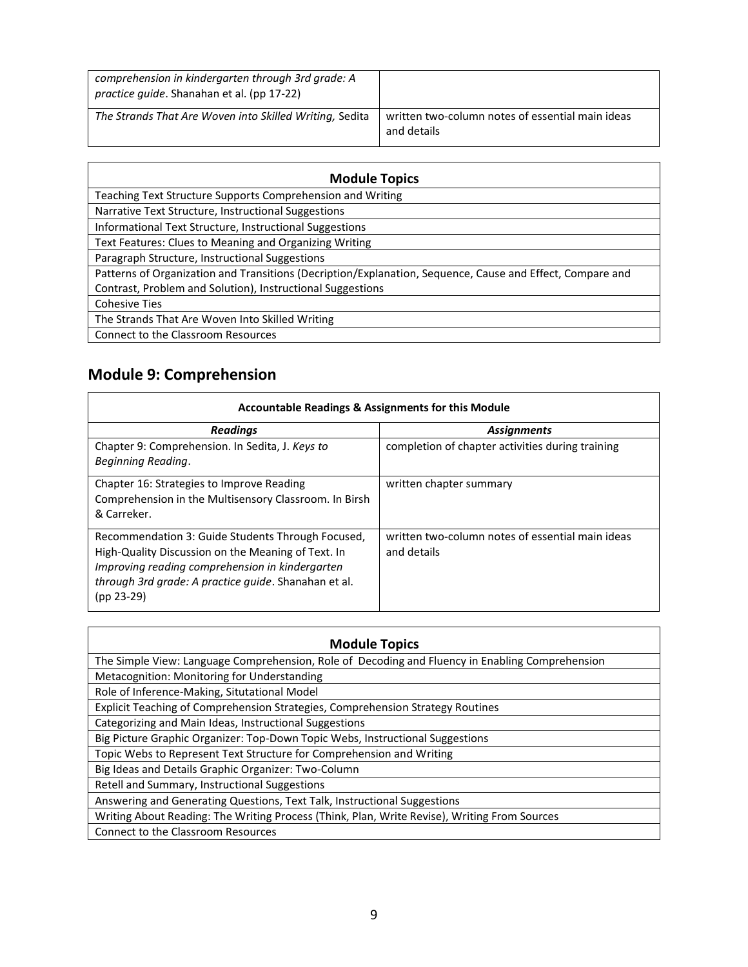| comprehension in kindergarten through 3rd grade: A<br><i>practice quide.</i> Shanahan et al. (pp 17-22) |                                                                 |
|---------------------------------------------------------------------------------------------------------|-----------------------------------------------------------------|
| The Strands That Are Woven into Skilled Writing, Sedita                                                 | written two-column notes of essential main ideas<br>and details |

| <b>Module Topics</b>                                                                                      |
|-----------------------------------------------------------------------------------------------------------|
| Teaching Text Structure Supports Comprehension and Writing                                                |
| Narrative Text Structure, Instructional Suggestions                                                       |
| Informational Text Structure, Instructional Suggestions                                                   |
| Text Features: Clues to Meaning and Organizing Writing                                                    |
| Paragraph Structure, Instructional Suggestions                                                            |
| Patterns of Organization and Transitions (Decription/Explanation, Sequence, Cause and Effect, Compare and |
| Contrast, Problem and Solution), Instructional Suggestions                                                |
| <b>Cohesive Ties</b>                                                                                      |
| The Strands That Are Woven Into Skilled Writing                                                           |
| Connect to the Classroom Resources                                                                        |

# **Module 9: Comprehension**

 $\overline{ }$ 

 $\mathbf{r}$ 

| <b>Accountable Readings &amp; Assignments for this Module</b>                                                                                                                                                                      |                                                                 |
|------------------------------------------------------------------------------------------------------------------------------------------------------------------------------------------------------------------------------------|-----------------------------------------------------------------|
| <b>Readings</b>                                                                                                                                                                                                                    | <b>Assignments</b>                                              |
| Chapter 9: Comprehension. In Sedita, J. Keys to<br>Beginning Reading.                                                                                                                                                              | completion of chapter activities during training                |
| Chapter 16: Strategies to Improve Reading<br>Comprehension in the Multisensory Classroom. In Birsh<br>& Carreker.                                                                                                                  | written chapter summary                                         |
| Recommendation 3: Guide Students Through Focused,<br>High-Quality Discussion on the Meaning of Text. In<br>Improving reading comprehension in kindergarten<br>through 3rd grade: A practice guide. Shanahan et al.<br>$(pp 23-29)$ | written two-column notes of essential main ideas<br>and details |

 $\overline{\phantom{a}}$ 

| <b>Module Topics</b>                                                                            |  |
|-------------------------------------------------------------------------------------------------|--|
| The Simple View: Language Comprehension, Role of Decoding and Fluency in Enabling Comprehension |  |
| Metacognition: Monitoring for Understanding                                                     |  |
| Role of Inference-Making, Situtational Model                                                    |  |
| Explicit Teaching of Comprehension Strategies, Comprehension Strategy Routines                  |  |
| Categorizing and Main Ideas, Instructional Suggestions                                          |  |
| Big Picture Graphic Organizer: Top-Down Topic Webs, Instructional Suggestions                   |  |
| Topic Webs to Represent Text Structure for Comprehension and Writing                            |  |
| Big Ideas and Details Graphic Organizer: Two-Column                                             |  |
| Retell and Summary, Instructional Suggestions                                                   |  |
| Answering and Generating Questions, Text Talk, Instructional Suggestions                        |  |
| Writing About Reading: The Writing Process (Think, Plan, Write Revise), Writing From Sources    |  |
| Connect to the Classroom Resources                                                              |  |
|                                                                                                 |  |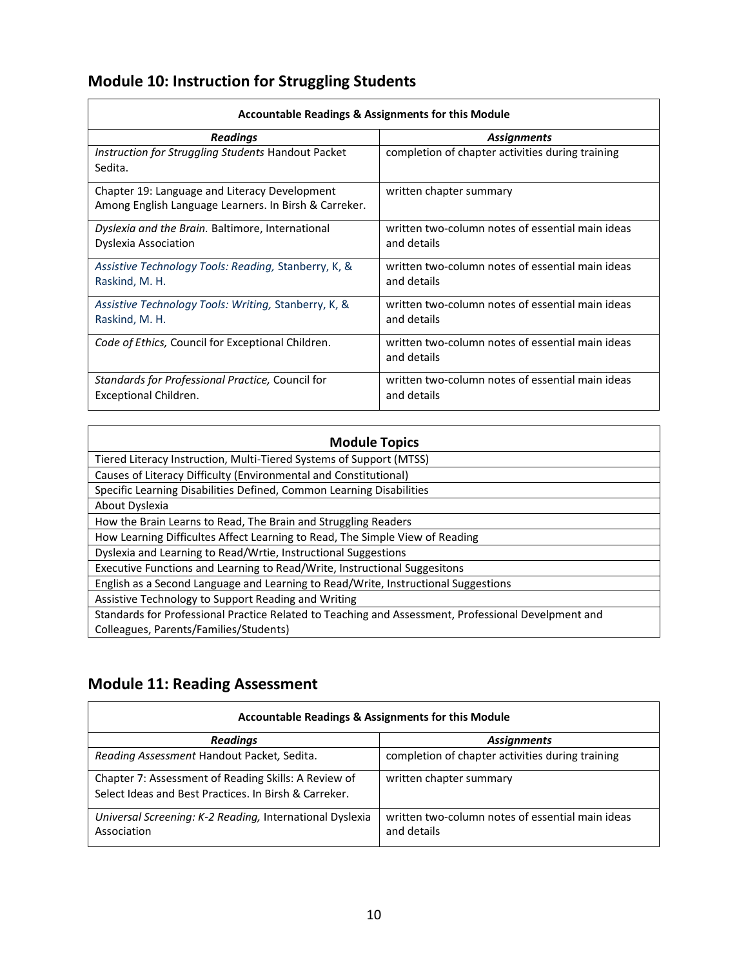# **Module 10: Instruction for Struggling Students**

| <b>Accountable Readings &amp; Assignments for this Module</b>                                          |                                                                 |
|--------------------------------------------------------------------------------------------------------|-----------------------------------------------------------------|
| <b>Readings</b>                                                                                        | <b>Assignments</b>                                              |
| Instruction for Struggling Students Handout Packet<br>Sedita.                                          | completion of chapter activities during training                |
| Chapter 19: Language and Literacy Development<br>Among English Language Learners. In Birsh & Carreker. | written chapter summary                                         |
| Dyslexia and the Brain. Baltimore, International<br>Dyslexia Association                               | written two-column notes of essential main ideas<br>and details |
| Assistive Technology Tools: Reading, Stanberry, K, &<br>Raskind, M. H.                                 | written two-column notes of essential main ideas<br>and details |
| Assistive Technology Tools: Writing, Stanberry, K, &<br>Raskind, M. H.                                 | written two-column notes of essential main ideas<br>and details |
| Code of Ethics, Council for Exceptional Children.                                                      | written two-column notes of essential main ideas<br>and details |
| Standards for Professional Practice, Council for<br>Exceptional Children.                              | written two-column notes of essential main ideas<br>and details |

 $\overline{\phantom{0}}$ 

| <b>Module Topics</b>                                                                                |  |
|-----------------------------------------------------------------------------------------------------|--|
| Tiered Literacy Instruction, Multi-Tiered Systems of Support (MTSS)                                 |  |
| Causes of Literacy Difficulty (Environmental and Constitutional)                                    |  |
| Specific Learning Disabilities Defined, Common Learning Disabilities                                |  |
| About Dyslexia                                                                                      |  |
| How the Brain Learns to Read, The Brain and Struggling Readers                                      |  |
| How Learning Difficultes Affect Learning to Read, The Simple View of Reading                        |  |
| Dyslexia and Learning to Read/Wrtie, Instructional Suggestions                                      |  |
| Executive Functions and Learning to Read/Write, Instructional Suggesitons                           |  |
| English as a Second Language and Learning to Read/Write, Instructional Suggestions                  |  |
| Assistive Technology to Support Reading and Writing                                                 |  |
| Standards for Professional Practice Related to Teaching and Assessment, Professional Develpment and |  |
| Colleagues, Parents/Families/Students)                                                              |  |

# **Module 11: Reading Assessment**

| <b>Accountable Readings &amp; Assignments for this Module</b>                                                 |                                                                 |
|---------------------------------------------------------------------------------------------------------------|-----------------------------------------------------------------|
| <b>Readings</b>                                                                                               | <b>Assignments</b>                                              |
| Reading Assessment Handout Packet, Sedita.                                                                    | completion of chapter activities during training                |
| Chapter 7: Assessment of Reading Skills: A Review of<br>Select Ideas and Best Practices. In Birsh & Carreker. | written chapter summary                                         |
| Universal Screening: K-2 Reading, International Dyslexia<br>Association                                       | written two-column notes of essential main ideas<br>and details |